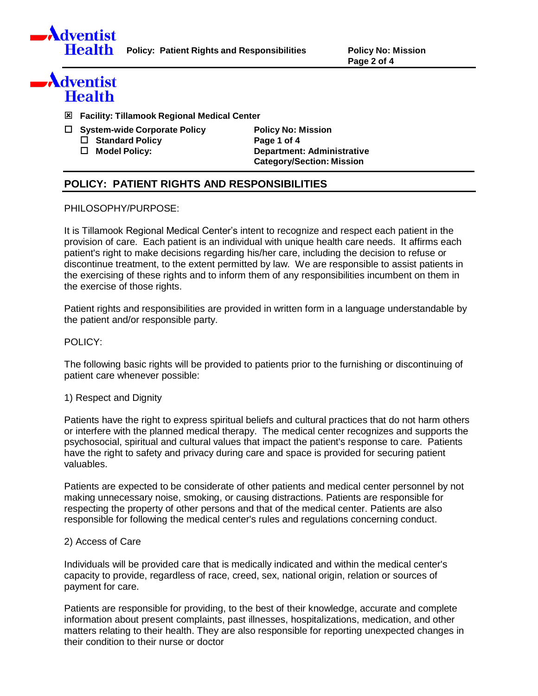

**Policy: Patient Rights and Responsibilities Policy No: Mission**

**Page 2 of 4**

# Adventist **Health**

- **Facility: Tillamook Regional Medical Center**
- **System-wide Corporate Policy Policy No: Mission Standard Policy Page 1 of 4**
	-

 **Model Policy: Department: Administrative Category/Section: Mission**

# **POLICY: PATIENT RIGHTS AND RESPONSIBILITIES**

# PHILOSOPHY/PURPOSE:

It is Tillamook Regional Medical Center's intent to recognize and respect each patient in the provision of care. Each patient is an individual with unique health care needs. It affirms each patient's right to make decisions regarding his/her care, including the decision to refuse or discontinue treatment, to the extent permitted by law. We are responsible to assist patients in the exercising of these rights and to inform them of any responsibilities incumbent on them in the exercise of those rights.

Patient rights and responsibilities are provided in written form in a language understandable by the patient and/or responsible party.

# POLICY:

The following basic rights will be provided to patients prior to the furnishing or discontinuing of patient care whenever possible:

1) Respect and Dignity

Patients have the right to express spiritual beliefs and cultural practices that do not harm others or interfere with the planned medical therapy. The medical center recognizes and supports the psychosocial, spiritual and cultural values that impact the patient's response to care. Patients have the right to safety and privacy during care and space is provided for securing patient valuables.

Patients are expected to be considerate of other patients and medical center personnel by not making unnecessary noise, smoking, or causing distractions. Patients are responsible for respecting the property of other persons and that of the medical center. Patients are also responsible for following the medical center's rules and regulations concerning conduct.

### 2) Access of Care

Individuals will be provided care that is medically indicated and within the medical center's capacity to provide, regardless of race, creed, sex, national origin, relation or sources of payment for care.

Patients are responsible for providing, to the best of their knowledge, accurate and complete information about present complaints, past illnesses, hospitalizations, medication, and other matters relating to their health. They are also responsible for reporting unexpected changes in their condition to their nurse or doctor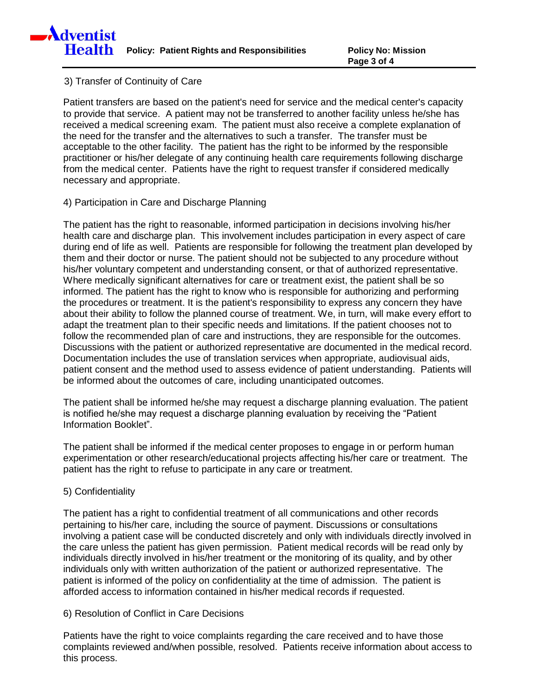# 3) Transfer of Continuity of Care

Patient transfers are based on the patient's need for service and the medical center's capacity to provide that service. A patient may not be transferred to another facility unless he/she has received a medical screening exam. The patient must also receive a complete explanation of the need for the transfer and the alternatives to such a transfer. The transfer must be acceptable to the other facility. The patient has the right to be informed by the responsible practitioner or his/her delegate of any continuing health care requirements following discharge from the medical center. Patients have the right to request transfer if considered medically necessary and appropriate.

# 4) Participation in Care and Discharge Planning

The patient has the right to reasonable, informed participation in decisions involving his/her health care and discharge plan. This involvement includes participation in every aspect of care during end of life as well. Patients are responsible for following the treatment plan developed by them and their doctor or nurse. The patient should not be subjected to any procedure without his/her voluntary competent and understanding consent, or that of authorized representative. Where medically significant alternatives for care or treatment exist, the patient shall be so informed. The patient has the right to know who is responsible for authorizing and performing the procedures or treatment. It is the patient's responsibility to express any concern they have about their ability to follow the planned course of treatment. We, in turn, will make every effort to adapt the treatment plan to their specific needs and limitations. If the patient chooses not to follow the recommended plan of care and instructions, they are responsible for the outcomes. Discussions with the patient or authorized representative are documented in the medical record. Documentation includes the use of translation services when appropriate, audiovisual aids, patient consent and the method used to assess evidence of patient understanding. Patients will be informed about the outcomes of care, including unanticipated outcomes.

The patient shall be informed he/she may request a discharge planning evaluation. The patient is notified he/she may request a discharge planning evaluation by receiving the "Patient Information Booklet".

The patient shall be informed if the medical center proposes to engage in or perform human experimentation or other research/educational projects affecting his/her care or treatment. The patient has the right to refuse to participate in any care or treatment.

#### 5) Confidentiality

The patient has a right to confidential treatment of all communications and other records pertaining to his/her care, including the source of payment. Discussions or consultations involving a patient case will be conducted discretely and only with individuals directly involved in the care unless the patient has given permission. Patient medical records will be read only by individuals directly involved in his/her treatment or the monitoring of its quality, and by other individuals only with written authorization of the patient or authorized representative. The patient is informed of the policy on confidentiality at the time of admission. The patient is afforded access to information contained in his/her medical records if requested.

# 6) Resolution of Conflict in Care Decisions

Patients have the right to voice complaints regarding the care received and to have those complaints reviewed and/when possible, resolved. Patients receive information about access to this process.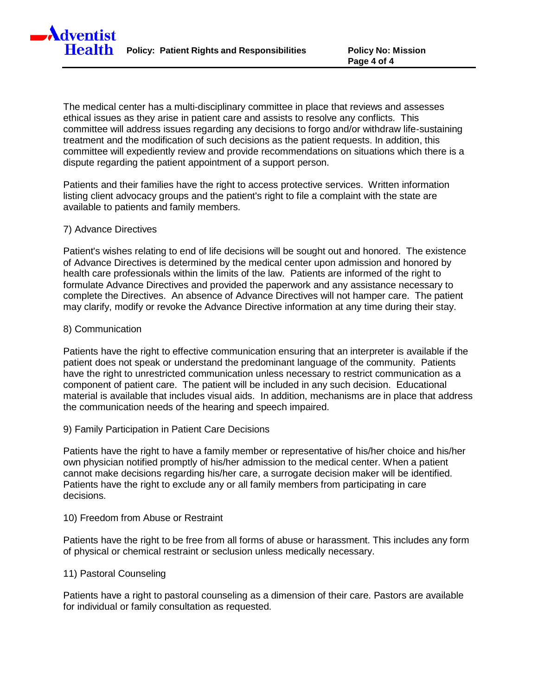**Policy: Patient Rights and Responsibilities Policy No: Mission**

The medical center has a multi-disciplinary committee in place that reviews and assesses ethical issues as they arise in patient care and assists to resolve any conflicts. This committee will address issues regarding any decisions to forgo and/or withdraw life-sustaining treatment and the modification of such decisions as the patient requests. In addition, this committee will expediently review and provide recommendations on situations which there is a dispute regarding the patient appointment of a support person.

Patients and their families have the right to access protective services. Written information listing client advocacy groups and the patient's right to file a complaint with the state are available to patients and family members.

#### 7) Advance Directives

**A**dventist

**Health** 

Patient's wishes relating to end of life decisions will be sought out and honored. The existence of Advance Directives is determined by the medical center upon admission and honored by health care professionals within the limits of the law. Patients are informed of the right to formulate Advance Directives and provided the paperwork and any assistance necessary to complete the Directives. An absence of Advance Directives will not hamper care. The patient may clarify, modify or revoke the Advance Directive information at any time during their stay.

#### 8) Communication

Patients have the right to effective communication ensuring that an interpreter is available if the patient does not speak or understand the predominant language of the community. Patients have the right to unrestricted communication unless necessary to restrict communication as a component of patient care. The patient will be included in any such decision. Educational material is available that includes visual aids. In addition, mechanisms are in place that address the communication needs of the hearing and speech impaired.

9) Family Participation in Patient Care Decisions

Patients have the right to have a family member or representative of his/her choice and his/her own physician notified promptly of his/her admission to the medical center. When a patient cannot make decisions regarding his/her care, a surrogate decision maker will be identified. Patients have the right to exclude any or all family members from participating in care decisions.

#### 10) Freedom from Abuse or Restraint

Patients have the right to be free from all forms of abuse or harassment. This includes any form of physical or chemical restraint or seclusion unless medically necessary.

#### 11) Pastoral Counseling

Patients have a right to pastoral counseling as a dimension of their care. Pastors are available for individual or family consultation as requested.